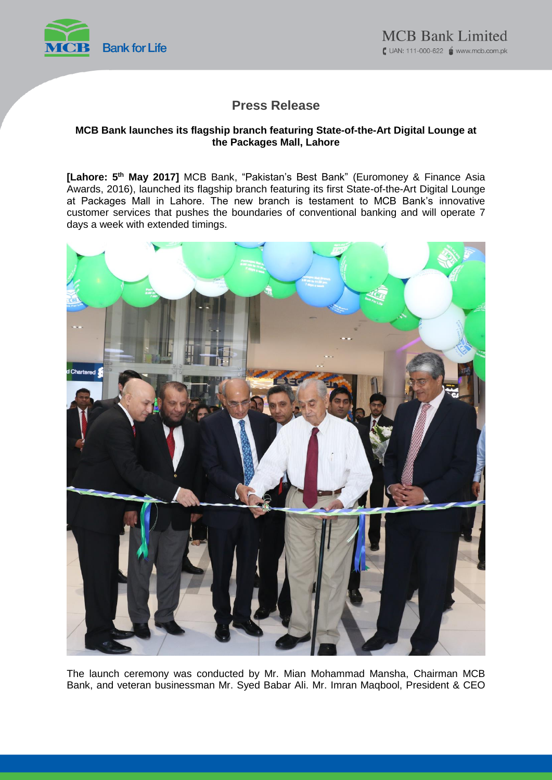

# **Press Release**

### **MCB Bank launches its flagship branch featuring State-of-the-Art Digital Lounge at the Packages Mall, Lahore**

**[Lahore: 5 th May 2017]** MCB Bank, "Pakistan's Best Bank" (Euromoney & Finance Asia Awards, 2016), launched its flagship branch featuring its first State-of-the-Art Digital Lounge at Packages Mall in Lahore. The new branch is testament to MCB Bank's innovative customer services that pushes the boundaries of conventional banking and will operate 7 days a week with extended timings.



The launch ceremony was conducted by Mr. Mian Mohammad Mansha, Chairman MCB Bank, and veteran businessman Mr. Syed Babar Ali. Mr. Imran Maqbool, President & CEO